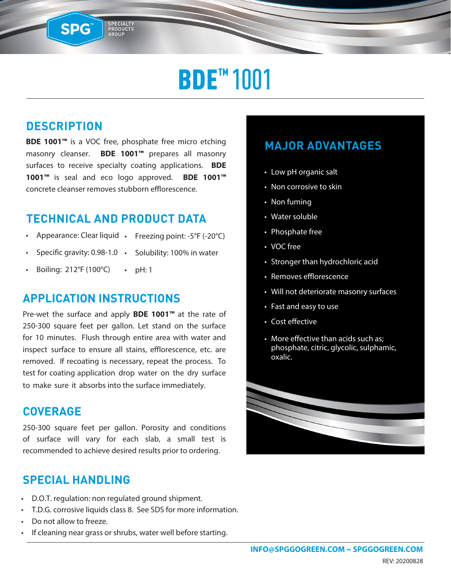## **BDE™1001**

### **DESCRIPTION**

SPG™

**BDE 1001™** is a VOC free, phosphate free micro etching masonry cleanser. **BDE 1001™** prepares all masonry surfaces to receive specialty coating applications. **BDE 1001™** is seal and eco logo approved. **BDE 1001™** concrete cleanser removes stubborn efflorescence.

SPECIALTY<br>PRODUCTS<br>GROUP

#### **TECHNICAL AND PRODUCT DATA**

- Appearance: Clear liquid Freezing point: -5°F (-20°C)
- Specific gravity: 0.98-1.0 Solubility: 100% in water
- Boiling: 212°F (100°C)  $\cdot$  pH: 1

#### **APPLICATION INSTRUCTIONS**

Pre-wet the surface and apply **BDE 1001™** at the rate of 250-300 square feet per gallon. Let stand on the surface for 10 minutes. Flush through entire area with water and inspect surface to ensure all stains, efflorescence, etc. are removed. If recoating is necessary, repeat the process. To test for coating application drop water on the dry surface to make sure it absorbs into the surface immediately.

#### **COVERAGE**

250-300 square feet per gallon. Porosity and conditions of surface will vary for each slab, a small test is recommended to achieve desired results prior to ordering.

#### **SPECIAL HANDLING**

- D.O.T. regulation: non regulated ground shipment.
- T.D.G. corrosive liquids class 8. See SDS for more information.
- Do not allow to freeze.
- If cleaning near grass or shrubs, water well before starting.

#### **MAJOR ADVANTAGES**

- Low pH organic salt
- Non corrosive to skin
- Non fuming
- Water soluble
- Phosphate free
- VOC free
- Stronger than hydrochloric acid
- Removes efflorescence
- Will not deteriorate masonry surfaces
- Fast and easy to use
- Cost effective
- More effective than acids such as; phosphate, citric, glycolic, sulphamic, oxalic.